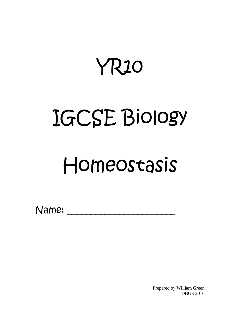# YR10

# IGCSE Biology

# Homeostasis

Name: \_\_\_\_\_\_\_\_\_\_\_\_\_\_\_\_\_\_\_\_\_\_\_

Prepared by William Green DBGS 2010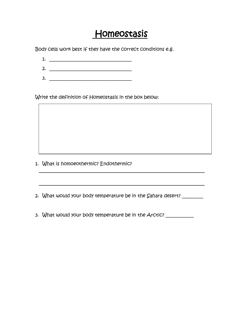## Homeostasis

Body cells work best if they have the correct conditions e.g.

1. \_\_\_\_\_\_\_\_\_\_\_\_\_\_\_\_\_\_\_\_\_\_\_\_\_\_\_\_\_\_\_\_\_\_\_  $2.$ 3. \_\_\_\_\_\_\_\_\_\_\_\_\_\_\_\_\_\_\_\_\_\_\_\_\_\_\_\_\_\_\_\_\_\_\_

Write the definition of Homeostasis in the box below:

1. What is homoeothermic? Endothermic?

2. What would your body temperature be in the Sahara desert?

3. What would your body temperature be in the Arctic?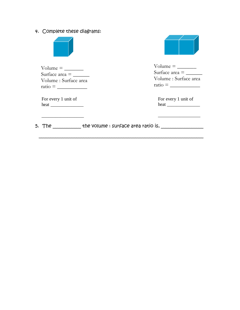4. Complete these diagrams:



Volume = \_\_\_\_\_\_\_ Surface area = \_\_\_\_\_\_ Volume : Surface area ratio =  $\_\_$ 

For every 1 unit of heat \_\_\_\_\_\_\_\_\_\_\_\_\_\_

 $\frac{1}{2}$  ,  $\frac{1}{2}$  ,  $\frac{1}{2}$  ,  $\frac{1}{2}$  ,  $\frac{1}{2}$  ,  $\frac{1}{2}$  ,  $\frac{1}{2}$  ,  $\frac{1}{2}$  ,  $\frac{1}{2}$  ,  $\frac{1}{2}$  ,  $\frac{1}{2}$  ,  $\frac{1}{2}$  ,  $\frac{1}{2}$  ,  $\frac{1}{2}$  ,  $\frac{1}{2}$  ,  $\frac{1}{2}$  ,  $\frac{1}{2}$  ,  $\frac{1}{2}$  ,  $\frac{1$ 



| Volume $=$            |
|-----------------------|
| Surface area $=$      |
| Volume : Surface area |
| $ratio =$             |

For every 1 unit of heat \_\_\_\_\_\_\_\_\_\_\_\_\_\_

\_\_\_\_\_\_\_\_\_\_\_\_\_\_\_\_\_\_

5. The \_\_\_\_\_\_\_\_\_\_\_\_\_ the volume : surface area ratio is, \_\_\_\_\_\_\_\_\_\_\_\_\_\_\_\_\_\_\_\_\_\_\_

\_\_\_\_\_\_\_\_\_\_\_\_\_\_\_\_\_\_\_\_\_\_\_\_\_\_\_\_\_\_\_\_\_\_\_\_\_\_\_\_\_\_\_\_\_\_\_\_\_\_\_\_\_\_\_\_\_\_\_\_\_\_\_\_\_\_\_\_\_\_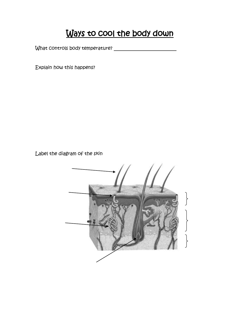## Ways to cool the body down

What controls body temperature?

Explain how this happens?

Label the diagram of the skin

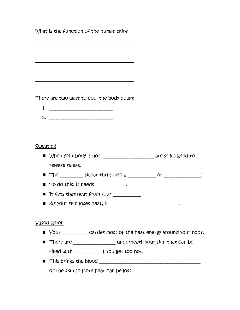What is the function of the human skin?

There are two ways to cool the body down:

- 1. \_\_\_\_\_\_\_\_\_\_\_\_\_\_\_\_\_\_\_\_\_\_\_\_\_\_\_
- 2. \_\_\_\_\_\_\_\_\_\_\_\_\_\_\_\_\_\_\_\_\_\_\_\_\_\_\_

### **Sweating**

- When your body is hot, \_\_\_\_\_\_\_\_\_\_\_\_\_\_\_\_\_\_\_\_\_\_\_ are stimulated to release sweat.
- The \_\_\_\_\_\_\_\_\_\_ sweat turns into a \_\_\_\_\_\_\_\_\_\_\_\_ (it \_\_\_\_\_\_\_\_\_\_\_\_\_\_\_\_)
- $\blacksquare$  To do this, it needs  $\blacksquare$
- It gets that heat from your \_\_\_\_\_\_\_\_\_\_\_.
- $\blacksquare$   $\blacktriangle$ s your skin loses heat, it \_\_\_\_\_\_\_\_\_\_\_\_\_\_\_\_\_\_\_\_\_\_\_\_\_\_\_\_\_\_.

### Vasodilation

- Your \_\_\_\_\_\_\_\_\_\_\_\_ Carries most of the heat energy around your body.
- There are **the can be are all that can be are all the can be** underneath your skin that can be

filled with \_\_\_\_\_\_\_\_\_\_\_ if you get too hot.

This brings the blood \_\_\_\_\_\_\_\_\_\_\_\_\_\_\_\_\_\_\_\_\_\_\_\_\_\_\_\_\_\_\_\_\_\_\_\_\_\_\_\_\_\_\_

of the skin so more heat can be lost.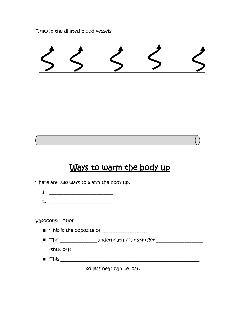Draw in the dilated blood vessels:

## Ways to warm the body up

There are two ways to warm the body up:

- 1. \_\_\_\_\_\_\_\_\_\_\_\_\_\_\_\_\_\_\_\_\_\_\_\_\_\_\_
- 2. \_\_\_\_\_\_\_\_\_\_\_\_\_\_\_\_\_\_\_\_\_\_\_\_\_\_\_

**Vasoconstriction** 

- $\blacksquare$  This is the opposite of  $\blacksquare$
- The \_\_\_\_\_\_\_\_\_\_\_\_\_\_\_\_underneath your skin get \_\_\_\_\_\_\_\_\_\_\_\_\_\_\_\_\_\_\_\_

(shut off).

This \_\_\_\_\_\_\_\_\_\_\_\_\_\_\_\_\_\_\_\_\_\_\_\_\_\_\_\_\_\_\_\_\_\_\_\_\_\_\_\_\_\_\_\_\_\_\_\_\_\_\_\_\_\_\_\_\_\_\_

so less heat can be lost.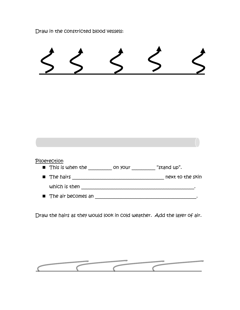Draw in the constricted blood vessels:

| Piloerection<br>$\blacksquare$ This is when the | on your | "stand up".      |
|-------------------------------------------------|---------|------------------|
| $\blacksquare$ The hairs                        |         | next to the skin |
| which is then                                   |         |                  |
| $\blacksquare$ The air becomes an               |         |                  |

Draw the hairs as they would look in cold weather. Add the layer of air.

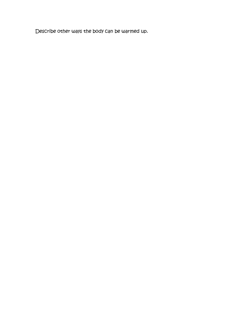Describe other ways the body can be warmed up.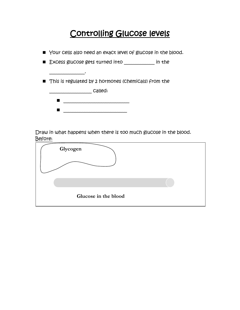## Controlling Glucose levels

|         | $\blacksquare$ Your cells also need an exact level of glucose in the blood. |  |  |
|---------|-----------------------------------------------------------------------------|--|--|
|         | Excess glucose gets turned into<br>in the                                   |  |  |
|         | $\blacksquare$ This is regulated by 2 hormones (Chemicals) from the         |  |  |
| Called: |                                                                             |  |  |
|         |                                                                             |  |  |
|         |                                                                             |  |  |

Draw in what happens when there is too much glucose in the blood. Before:

| Glycogen             |  |
|----------------------|--|
|                      |  |
| Glucose in the blood |  |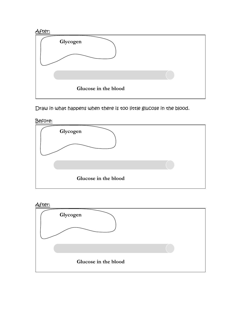

Draw in what happens when there is too little glucose in the blood.





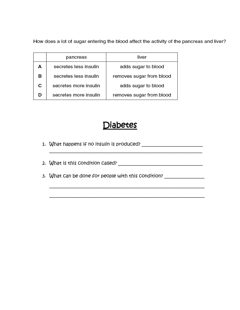How does a lot of sugar entering the blood affect the activity of the pancreas and liver?

|   | pancreas              | liver                    |
|---|-----------------------|--------------------------|
| А | secretes less insulin | adds sugar to blood      |
| в | secretes less insulin | removes sugar from blood |
| С | secretes more insulin | adds sugar to blood      |
| D | secretes more insulin | removes sugar from blood |

## Diabetes

- 1. What happens if no insulin is produced?
- 2. What is this condition called?
- 3. What can be done for people with this condition?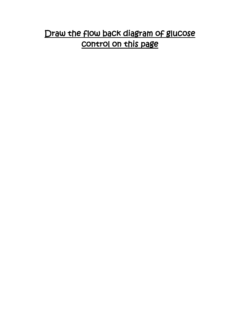## Draw the flow back diagram of glucose control on this page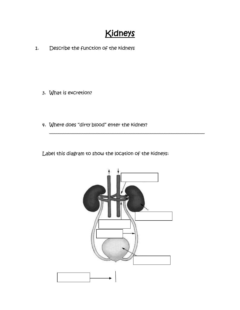## Kidneys

1. Describe the function of the kidneys

- 3. What is excretion?
- 4. Where does "dirty blood" enter the kidney?

Label this diagram to show the location of the kidneys:

\_\_\_\_\_\_\_\_\_\_\_\_\_\_\_\_\_\_\_\_\_\_\_\_\_\_\_\_\_\_\_\_\_\_\_\_\_\_\_\_\_\_\_\_\_\_\_\_\_\_\_\_\_\_\_\_\_\_\_\_\_\_\_\_\_\_

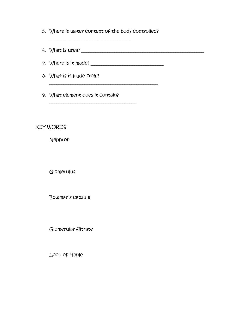5. Where is water content of the body controlled?

\_\_\_\_\_\_\_\_\_\_\_\_\_\_\_\_\_\_\_\_\_\_\_\_\_\_\_\_\_\_\_\_\_\_

6. What is urea? \_\_\_\_\_\_\_\_\_\_\_\_\_\_\_\_\_\_\_\_\_\_\_\_\_\_\_\_\_\_\_\_\_\_\_\_\_\_\_\_\_\_\_\_\_\_\_\_\_\_\_\_

7. Where is it made? \_\_\_\_\_\_\_\_\_\_\_\_\_\_\_\_\_\_\_\_\_\_\_\_\_\_\_\_\_\_\_

 $\overline{\phantom{a}}$  , and the contract of the contract of the contract of the contract of the contract of the contract of the contract of the contract of the contract of the contract of the contract of the contract of the contrac

- 8. What is it made from?
- 9. What element does it contain?

\_\_\_\_\_\_\_\_\_\_\_\_\_\_\_\_\_\_\_\_\_\_\_\_\_\_\_\_\_\_\_\_\_\_\_\_\_

### KEY WORDS

Nephron

**Glomerulus** 

Bowman"s capsule

Glomerular filtrate

Loop of Henle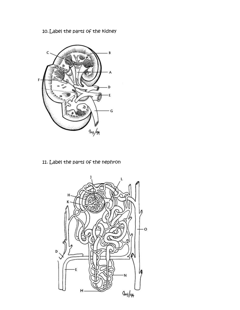10.Label the parts of the kidney



11. Label the parts of the nephron

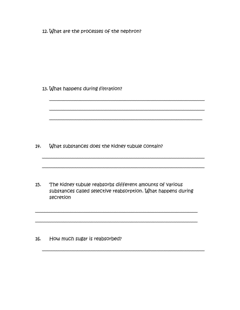12. What are the processes of the nephron?

13. What happens during filtration?

14. What substances does the kidney tubule contain?

15. The kidney tubule reabsorbs different amounts of various substances called selective reabsorption. What happens during secretion

\_\_\_\_\_\_\_\_\_\_\_\_\_\_\_\_\_\_\_\_\_\_\_\_\_\_\_\_\_\_\_\_\_\_\_\_\_\_\_\_\_\_\_\_\_\_\_\_\_\_\_\_\_\_\_\_\_\_\_\_\_\_\_\_\_\_\_\_\_

\_\_\_\_\_\_\_\_\_\_\_\_\_\_\_\_\_\_\_\_\_\_\_\_\_\_\_\_\_\_\_\_\_\_\_\_\_\_\_\_\_\_\_\_\_\_\_\_\_\_\_\_\_\_\_\_\_\_\_\_\_\_\_\_\_\_\_\_\_

\_\_\_\_\_\_\_\_\_\_\_\_\_\_\_\_\_\_\_\_\_\_\_\_\_\_\_\_\_\_\_\_\_\_\_\_\_\_\_\_\_\_\_\_\_\_\_\_\_\_\_\_\_\_\_\_\_\_\_\_\_\_\_\_\_\_\_\_\_

\_\_\_\_\_\_\_\_\_\_\_\_\_\_\_\_\_\_\_\_\_\_\_\_\_\_\_\_\_\_\_\_\_\_\_\_\_\_\_\_\_\_\_\_\_\_\_\_\_\_\_\_\_\_\_\_\_\_\_\_\_\_\_\_\_\_

\_\_\_\_\_\_\_\_\_\_\_\_\_\_\_\_\_\_\_\_\_\_\_\_\_\_\_\_\_\_\_\_\_\_\_\_\_\_\_\_\_\_\_\_\_\_\_\_\_\_\_\_\_\_\_\_\_\_\_\_\_\_\_\_\_\_

\_\_\_\_\_\_\_\_\_\_\_\_\_\_\_\_\_\_\_\_\_\_\_\_\_\_\_\_\_\_\_\_\_\_\_\_\_\_\_\_\_\_\_\_\_\_\_\_\_\_\_\_\_\_\_\_\_\_\_\_\_\_\_\_\_

\_\_\_\_\_\_\_\_\_\_\_\_\_\_\_\_\_\_\_\_\_\_\_\_\_\_\_\_\_\_\_\_\_\_\_\_\_\_\_\_\_\_\_\_\_\_\_\_\_\_\_\_\_\_\_\_\_\_\_\_\_\_\_\_\_\_\_\_\_

\_\_\_\_\_\_\_\_\_\_\_\_\_\_\_\_\_\_\_\_\_\_\_\_\_\_\_\_\_\_\_\_\_\_\_\_\_\_\_\_\_\_\_\_\_\_\_\_\_\_\_\_\_\_\_\_\_\_\_\_\_\_\_\_\_\_\_\_\_

16. How much sugar is reabsorbed?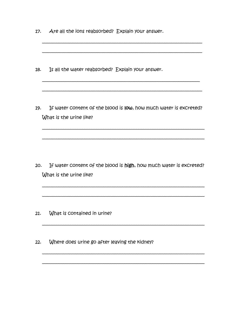17. Are all the ions reabsorbed? Explain your answer.

18. Is all the water reabsorbed? Explain your answer.

19. If water content of the blood is low, how much water is excreted? What is the urine like?

If water content of the blood is high, how much water is excreted?  $20.$ What is the urine like?

- What is contained in urine?  $21.$
- Where does urine go after leaving the kidney?  $22.$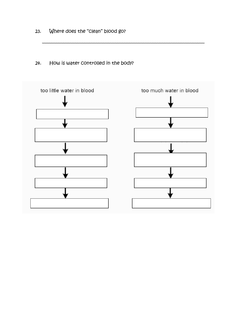- 23. Where does the "clean" blood go?
- 24. How is water controlled in the body?



\_\_\_\_\_\_\_\_\_\_\_\_\_\_\_\_\_\_\_\_\_\_\_\_\_\_\_\_\_\_\_\_\_\_\_\_\_\_\_\_\_\_\_\_\_\_\_\_\_\_\_\_\_\_\_\_\_\_\_\_\_\_\_\_\_\_\_\_\_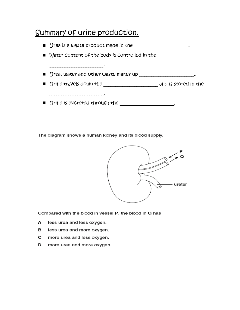## Summary of urine production.

 Urea is a waste product made in the \_\_\_\_\_\_\_\_\_\_\_\_\_\_\_\_\_\_\_\_\_\_\_. **I** Water content of the body is controlled in the \_\_\_\_\_\_\_\_\_\_\_\_\_\_\_\_\_\_\_\_\_\_\_. ■ Urea, water and other waste makes up \_\_\_\_\_\_\_\_\_\_\_\_\_\_\_\_\_\_\_\_\_\_\_\_.. ■ Urine travels down the \_\_\_\_\_\_\_\_\_\_\_\_\_\_\_\_\_\_\_\_\_\_\_\_\_\_\_\_\_\_\_\_\_ and is stored in the \_\_\_\_\_\_\_\_\_\_\_\_\_\_\_\_\_\_\_\_\_\_\_. ■ Urine is excreted through the \_\_\_\_\_\_\_\_\_\_\_\_\_\_\_\_\_\_\_\_\_\_.

The diagram shows a human kidney and its blood supply.



Compared with the blood in vessel P, the blood in Q has

- A less urea and less oxygen.
- в less urea and more oxygen.
- С more urea and less oxygen.
- D more urea and more oxygen.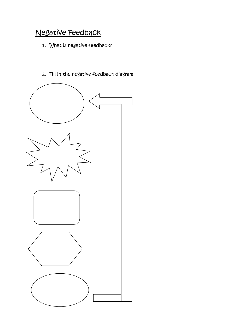## Negative Feedback

- 1. What is negative feedback?
- 2. Fill in the negative feedback diagram

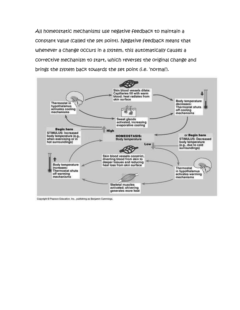All homeostatic mechanisms use negative feedback to maintain a constant value (called the set point). Negative feedback means that whenever a change occurs in a system, this automatically causes a corrective mechanism to start, which reverses the original change and brings the system back towards the set point (i.e. "normal").



Copyright @ Pearson Education, Inc., publishing as Berjamin Cummings.